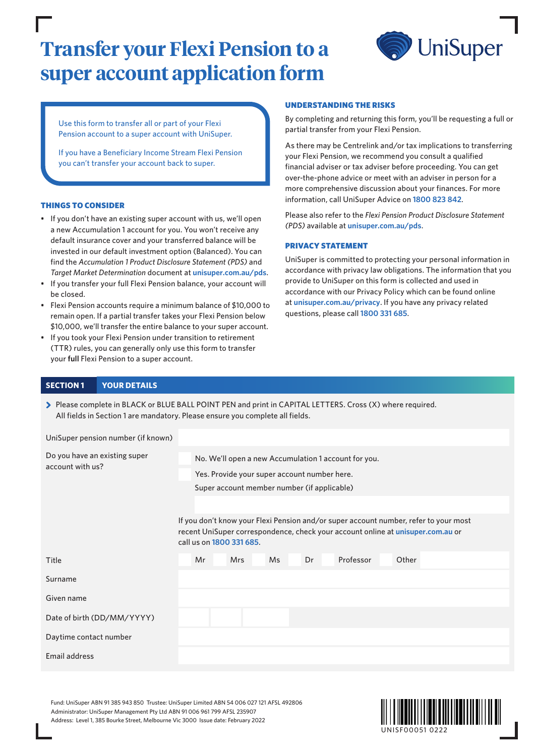# **Transfer your Flexi Pension to a super account application form**



Use this form to transfer all or part of your Flexi Pension account to a super account with UniSuper.

If you have a Beneficiary Income Stream Flexi Pension you can't transfer your account back to super.

#### THINGS TO CONSIDER

- If you don't have an existing super account with us, we'll open a new Accumulation 1 account for you. You won't receive any default insurance cover and your transferred balance will be invested in our default investment option (Balanced). You can find the *Accumulation 1 Product Disclosure Statement (PDS)* and *Target Market Determination* document at **[unisuper.com.au/pds](http://unisuper.com.au/pds)** .
- If you transfer your full Flexi Pension balance, your account will be closed.
- Flexi Pension accounts require a minimum balance of \$10,000 to remain open. If a partial transfer takes your Flexi Pension below \$10,000, we'll transfer the entire balance to your super account.
- If you took your Flexi Pension under transition to retirement (TTR) rules, you can generally only use this form to transfer your **full** Flexi Pension to a super account.

#### UNDERSTANDING THE RISKS

By completing and returning this form, you'll be requesting a full or partial transfer from your Flexi Pension.

As there may be Centrelink and/or tax implications to transferring your Flexi Pension, we recommend you consult a qualified financial adviser or tax adviser before proceeding. You can get over-the-phone advice or meet with an adviser in person for a more comprehensive discussion about your finances. For more information, call UniSuper Advice on **1800 823 842**.

Please also refer to the *Flexi Pension Product Disclosure Statement (PDS)* available at **[unisuper.com.au/pds](http://unisuper.com.au/pds)** .

#### PRIVACY STATEMENT

UniSuper is committed to protecting your personal information in accordance with privacy law obligations. The information that you provide to UniSuper on this form is collected and used in accordance with our Privacy Policy which can be found online at **[unisuper.com.au/privacy](http://unisuper.com.au/privacy)** . If you have any privacy related questions, please call **1800 331 685**.

#### **SECTION 1 YOUR DETAILS**

> Please complete in BLACK or BLUE BALL POINT PEN and print in CAPITAL LETTERS. Cross (X) where required. All fields in Section 1 are mandatory. Please ensure you complete all fields.

UniSuper pension number (if known)

| Do you have an existing super | No. We'll open a new Accumulation 1 account for you.                                                                                                                                                |  |  |  |  |  |
|-------------------------------|-----------------------------------------------------------------------------------------------------------------------------------------------------------------------------------------------------|--|--|--|--|--|
| account with us?              | Yes. Provide your super account number here.                                                                                                                                                        |  |  |  |  |  |
|                               | Super account member number (if applicable)                                                                                                                                                         |  |  |  |  |  |
|                               |                                                                                                                                                                                                     |  |  |  |  |  |
|                               | If you don't know your Flexi Pension and/or super account number, refer to your most<br>recent UniSuper correspondence, check your account online at unisuper.com.au or<br>call us on 1800 331 685. |  |  |  |  |  |
| Title                         | Other<br>Mr<br><b>Mrs</b><br><b>Ms</b><br>Dr<br>Professor                                                                                                                                           |  |  |  |  |  |
| Surname                       |                                                                                                                                                                                                     |  |  |  |  |  |
| Given name                    |                                                                                                                                                                                                     |  |  |  |  |  |
| Date of birth (DD/MM/YYYY)    |                                                                                                                                                                                                     |  |  |  |  |  |
| Daytime contact number        |                                                                                                                                                                                                     |  |  |  |  |  |
| Email address                 |                                                                                                                                                                                                     |  |  |  |  |  |

Fund: UniSuper ABN 91 385 943 850 Trustee: UniSuper Limited ABN 54 006 027 121 AFSL 492806 Administrator: UniSuper Management Pty Ltd ABN 91 006 961 799 AFSL 235907 Address: Level 1, 385 Bourke Street, Melbourne Vic 3000 Issue date: February 2022

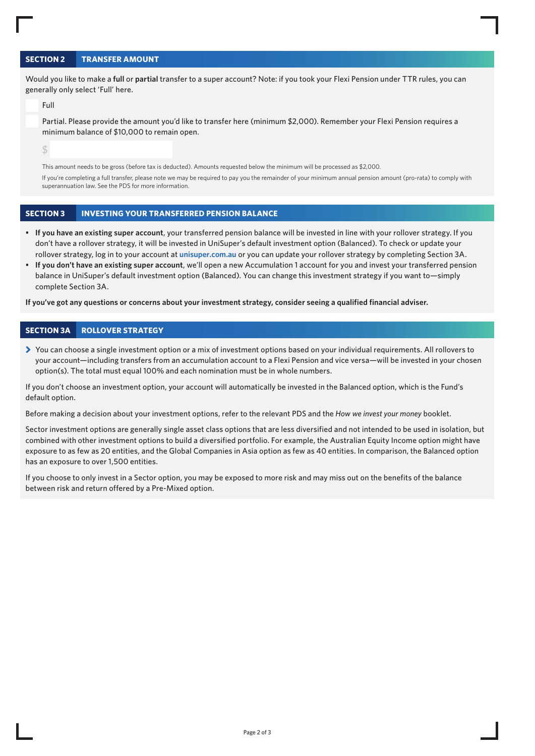# **SECTION 2 TRANSFER AMOUNT**

Would you like to make a **full** or **partial** transfer to a super account? Note: if you took your Flexi Pension under TTR rules, you can generally only select 'Full' here.

Full

Partial. Please provide the amount you'd like to transfer here (minimum \$2,000). Remember your Flexi Pension requires a minimum balance of \$10,000 to remain open.

**\$** 

This amount needs to be gross (before tax is deducted). Amounts requested below the minimum will be processed as \$2,000.

If you're completing a full transfer, please note we may be required to pay you the remainder of your minimum annual pension amount (pro-rata) to comply with superannuation law. See the PDS for more information.

# **SECTION 3 INVESTING YOUR TRANSFERRED PENSION BALANCE**

- **If you have an existing super account**, your transferred pension balance will be invested in line with your rollover strategy. If you don't have a rollover strategy, it will be invested in UniSuper's default investment option (Balanced). To check or update your rollover strategy, log in to your account at **[unisuper.com.au](http://unisuper.com.au)** or you can update your rollover strategy by completing Section 3A.
- **If you don't have an existing super account**, we'll open a new Accumulation 1 account for you and invest your transferred pension balance in UniSuper's default investment option (Balanced). You can change this investment strategy if you want to—simply complete Section 3A.

**If you've got any questions or concerns about your investment strategy, consider seeing a qualified financial adviser.**

#### **SECTION 3A ROLLOVER STRATEGY**

> You can choose a single investment option or a mix of investment options based on your individual requirements. All rollovers to your account—including transfers from an accumulation account to a Flexi Pension and vice versa—will be invested in your chosen option(s). The total must equal 100% and each nomination must be in whole numbers.

If you don't choose an investment option, your account will automatically be invested in the Balanced option, which is the Fund's default option.

Before making a decision about your investment options, refer to the relevant PDS and the *How we invest your money* booklet.

Sector investment options are generally single asset class options that are less diversified and not intended to be used in isolation, but combined with other investment options to build a diversified portfolio. For example, the Australian Equity Income option might have exposure to as few as 20 entities, and the Global Companies in Asia option as few as 40 entities. In comparison, the Balanced option has an exposure to over 1,500 entities.

If you choose to only invest in a Sector option, you may be exposed to more risk and may miss out on the benefits of the balance between risk and return offered by a Pre-Mixed option.